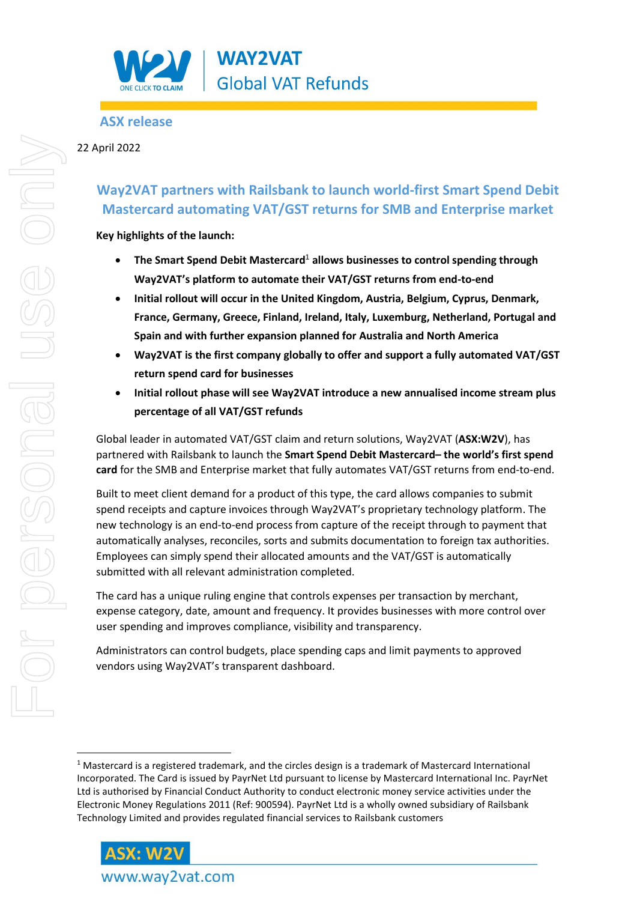

## **ASX release**

### 22 April 2022

# **Way2VAT partners with Railsbank to launch world-first Smart Spend Debit Mastercard automating VAT/GST returns for SMB and Enterprise market**

**Key highlights of the launch:** 

- **The Smart Spend Debit Mastercard**<sup>1</sup> **allows businesses to control spending through Way2VAT's platform to automate their VAT/GST returns from end-to-end**
- **Initial rollout will occur in the United Kingdom, Austria, Belgium, Cyprus, Denmark, France, Germany, Greece, Finland, Ireland, Italy, Luxemburg, Netherland, Portugal and Spain and with further expansion planned for Australia and North America**
- **Way2VAT is the first company globally to offer and support a fully automated VAT/GST return spend card for businesses**
- **Initial rollout phase will see Way2VAT introduce a new annualised income stream plus percentage of all VAT/GST refunds**

Global leader in automated VAT/GST claim and return solutions, Way2VAT (**ASX:W2V**), has partnered with Railsbank to launch the **Smart Spend Debit Mastercard– the world's first spend card** for the SMB and Enterprise market that fully automates VAT/GST returns from end-to-end.

Built to meet client demand for a product of this type, the card allows companies to submit spend receipts and capture invoices through Way2VAT's proprietary technology platform. The new technology is an end-to-end process from capture of the receipt through to payment that automatically analyses, reconciles, sorts and submits documentation to foreign tax authorities. Employees can simply spend their allocated amounts and the VAT/GST is automatically submitted with all relevant administration completed.

The card has a unique ruling engine that controls expenses per transaction by merchant, expense category, date, amount and frequency. It provides businesses with more control over user spending and improves compliance, visibility and transparency.

Administrators can control budgets, place spending caps and limit payments to approved vendors using Way2VAT's transparent dashboard.

 $1$  Mastercard is a registered trademark, and the circles design is a trademark of Mastercard International Incorporated. The Card is issued by PayrNet Ltd pursuant to license by Mastercard International Inc. PayrNet Ltd is authorised by Financial Conduct Authority to conduct electronic money service activities under the Electronic Money Regulations 2011 (Ref: 900594). PayrNet Ltd is a wholly owned subsidiary of Railsbank Technology Limited and provides regulated financial services to Railsbank customers



www.way2vat.com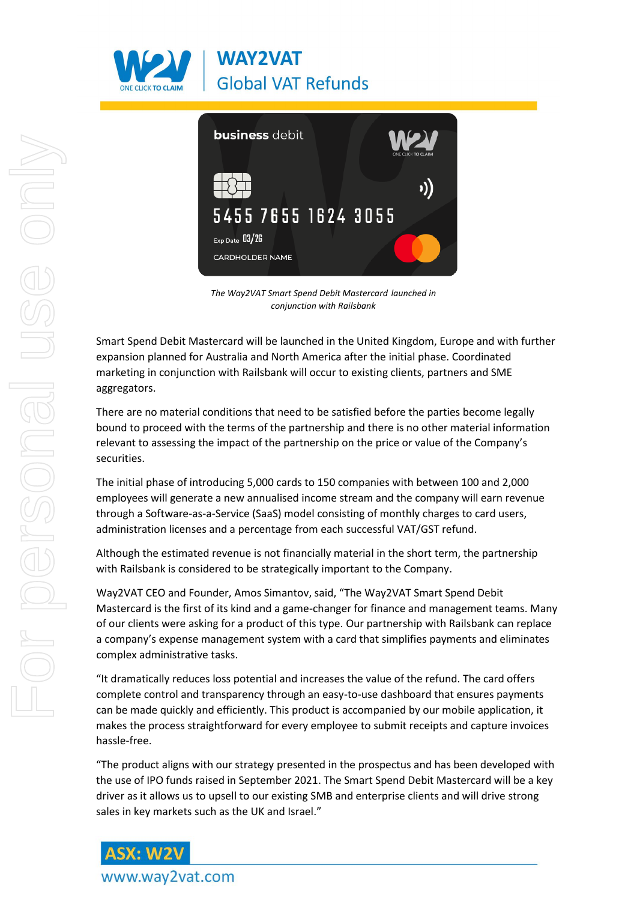



*The Way2VAT Smart Spend Debit Mastercard launched in conjunction with Railsbank* 

Smart Spend Debit Mastercard will be launched in the United Kingdom, Europe and with further expansion planned for Australia and North America after the initial phase. Coordinated marketing in conjunction with Railsbank will occur to existing clients, partners and SME aggregators.

There are no material conditions that need to be satisfied before the parties become legally bound to proceed with the terms of the partnership and there is no other material information relevant to assessing the impact of the partnership on the price or value of the Company's securities.

The initial phase of introducing 5,000 cards to 150 companies with between 100 and 2,000 employees will generate a new annualised income stream and the company will earn revenue through a Software-as-a-Service (SaaS) model consisting of monthly charges to card users, administration licenses and a percentage from each successful VAT/GST refund.

Although the estimated revenue is not financially material in the short term, the partnership with Railsbank is considered to be strategically important to the Company.

Way2VAT CEO and Founder, Amos Simantov, said, "The Way2VAT Smart Spend Debit Mastercard is the first of its kind and a game-changer for finance and management teams. Many of our clients were asking for a product of this type. Our partnership with Railsbank can replace a company's expense management system with a card that simplifies payments and eliminates complex administrative tasks.

"It dramatically reduces loss potential and increases the value of the refund. The card offers complete control and transparency through an easy-to-use dashboard that ensures payments can be made quickly and efficiently. This product is accompanied by our mobile application, it makes the process straightforward for every employee to submit receipts and capture invoices hassle-free.

"The product aligns with our strategy presented in the prospectus and has been developed with the use of IPO funds raised in September 2021. The Smart Spend Debit Mastercard will be a key driver as it allows us to upsell to our existing SMB and enterprise clients and will drive strong sales in key markets such as the UK and Israel."